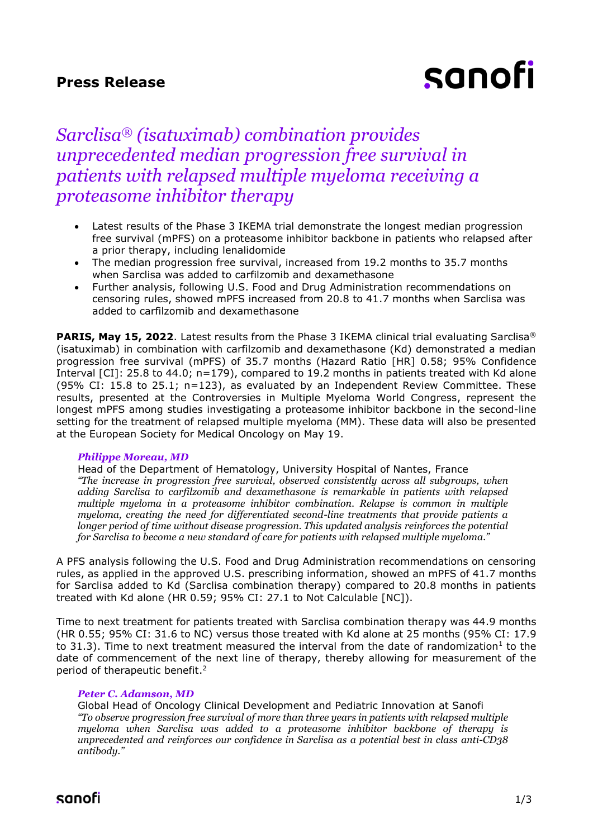## **Press Release**

# sanofi

## *Sarclisa® (isatuximab) combination provides unprecedented median progression free survival in patients with relapsed multiple myeloma receiving a proteasome inhibitor therapy*

- Latest results of the Phase 3 IKEMA trial demonstrate the longest median progression free survival (mPFS) on a proteasome inhibitor backbone in patients who relapsed after a prior therapy, including lenalidomide
- The median progression free survival, increased from 19.2 months to 35.7 months when Sarclisa was added to carfilzomib and dexamethasone
- Further analysis, following U.S. Food and Drug Administration recommendations on censoring rules, showed mPFS increased from 20.8 to 41.7 months when Sarclisa was added to carfilzomib and dexamethasone

**PARIS, May 15, 2022**. Latest results from the Phase 3 IKEMA clinical trial evaluating Sarclisa<sup>®</sup> (isatuximab) in combination with carfilzomib and dexamethasone (Kd) demonstrated a median progression free survival (mPFS) of 35.7 months (Hazard Ratio [HR] 0.58; 95% Confidence Interval [CI]: 25.8 to 44.0; n=179), compared to 19.2 months in patients treated with Kd alone (95% CI: 15.8 to 25.1; n=123), as evaluated by an Independent Review Committee. These results, presented at the Controversies in Multiple Myeloma World Congress, represent the longest mPFS among studies investigating a proteasome inhibitor backbone in the second-line setting for the treatment of relapsed multiple myeloma (MM). These data will also be presented at the European Society for Medical Oncology on May 19.

#### *Philippe Moreau, MD*

Head of the Department of Hematology, University Hospital of Nantes, France *"The increase in progression free survival, observed consistently across all subgroups, when adding Sarclisa to carfilzomib and dexamethasone is remarkable in patients with relapsed multiple myeloma in a proteasome inhibitor combination. Relapse is common in multiple myeloma, creating the need for differentiated second-line treatments that provide patients a longer period of time without disease progression. This updated analysis reinforces the potential for Sarclisa to become a new standard of care for patients with relapsed multiple myeloma."*

A PFS analysis following the U.S. Food and Drug Administration recommendations on censoring rules, as applied in the approved U.S. prescribing information, showed an mPFS of 41.7 months for Sarclisa added to Kd (Sarclisa combination therapy) compared to 20.8 months in patients treated with Kd alone (HR 0.59; 95% CI: 27.1 to Not Calculable [NC]).

Time to next treatment for patients treated with Sarclisa combination therapy was 44.9 months (HR 0.55; 95% CI: 31.6 to NC) versus those treated with Kd alone at 25 months (95% CI: 17.9 to 31.3). Time to next treatment measured the interval from the date of randomization<sup>1</sup> to the date of commencement of the next line of therapy, thereby allowing for measurement of the period of therapeutic benefit. 2

### *Peter C. Adamson, MD*

Global Head of Oncology Clinical Development and Pediatric Innovation at Sanofi *"To observe progression free survival of more than three years in patients with relapsed multiple myeloma when Sarclisa was added to a proteasome inhibitor backbone of therapy is unprecedented and reinforces our confidence in Sarclisa as a potential best in class anti-CD38 antibody."*

sanofi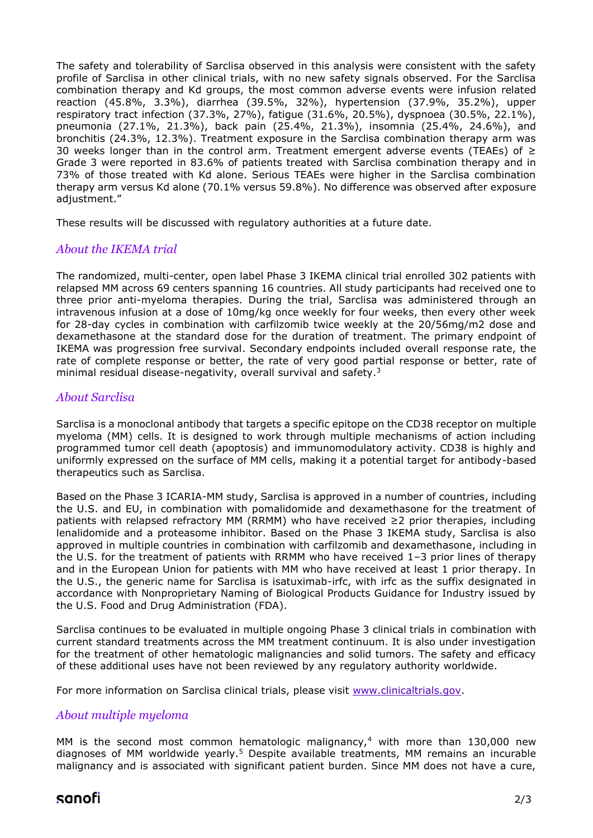The safety and tolerability of Sarclisa observed in this analysis were consistent with the safety profile of Sarclisa in other clinical trials, with no new safety signals observed. For the Sarclisa combination therapy and Kd groups, the most common adverse events were infusion related reaction (45.8%, 3.3%), diarrhea (39.5%, 32%), hypertension (37.9%, 35.2%), upper respiratory tract infection (37.3%, 27%), fatigue (31.6%, 20.5%), dyspnoea (30.5%, 22.1%), pneumonia (27.1%, 21.3%), back pain (25.4%, 21.3%), insomnia (25.4%, 24.6%), and bronchitis (24.3%, 12.3%). Treatment exposure in the Sarclisa combination therapy arm was 30 weeks longer than in the control arm. Treatment emergent adverse events (TEAEs) of  $\geq$ Grade 3 were reported in 83.6% of patients treated with Sarclisa combination therapy and in 73% of those treated with Kd alone. Serious TEAEs were higher in the Sarclisa combination therapy arm versus Kd alone (70.1% versus 59.8%). No difference was observed after exposure adjustment."

These results will be discussed with regulatory authorities at a future date.

### *About the IKEMA trial*

The randomized, multi-center, open label Phase 3 IKEMA clinical trial enrolled 302 patients with relapsed MM across 69 centers spanning 16 countries. All study participants had received one to three prior anti-myeloma therapies. During the trial, Sarclisa was administered through an intravenous infusion at a dose of 10mg/kg once weekly for four weeks, then every other week for 28-day cycles in combination with carfilzomib twice weekly at the 20/56mg/m2 dose and dexamethasone at the standard dose for the duration of treatment. The primary endpoint of IKEMA was progression free survival. Secondary endpoints included overall response rate, the rate of complete response or better, the rate of very good partial response or better, rate of minimal residual disease-negativity, overall survival and safety.<sup>3</sup>

### *About Sarclisa*

Sarclisa is a monoclonal antibody that targets a specific epitope on the CD38 receptor on multiple myeloma (MM) cells. It is designed to work through multiple mechanisms of action including programmed tumor cell death (apoptosis) and immunomodulatory activity. CD38 is highly and uniformly expressed on the surface of MM cells, making it a potential target for antibody-based therapeutics such as Sarclisa.

Based on the Phase 3 ICARIA-MM study, Sarclisa is approved in a number of countries, including the U.S. and EU, in combination with pomalidomide and dexamethasone for the treatment of patients with relapsed refractory MM (RRMM) who have received ≥2 prior therapies, including lenalidomide and a proteasome inhibitor. Based on the Phase 3 IKEMA study, Sarclisa is also approved in multiple countries in combination with carfilzomib and dexamethasone, including in the U.S. for the treatment of patients with RRMM who have received 1–3 prior lines of therapy and in the European Union for patients with MM who have received at least 1 prior therapy. In the U.S., the generic name for Sarclisa is isatuximab-irfc, with irfc as the suffix designated in accordance with Nonproprietary Naming of Biological Products Guidance for Industry issued by the U.S. Food and Drug Administration (FDA).

Sarclisa continues to be evaluated in multiple ongoing Phase 3 clinical trials in combination with current standard treatments across the MM treatment continuum. It is also under investigation for the treatment of other hematologic malignancies and solid tumors. The safety and efficacy of these additional uses have not been reviewed by any regulatory authority worldwide.

For more information on Sarclisa clinical trials, please visit [www.clinicaltrials.gov.](http://www.clinicaltrials.gov/)

## *About multiple myeloma*

MM is the second most common hematologic malignancy, $4$  with more than 130,000 new diagnoses of MM worldwide yearly.<sup>5</sup> Despite available treatments, MM remains an incurable malignancy and is associated with significant patient burden. Since MM does not have a cure,

## sanofi